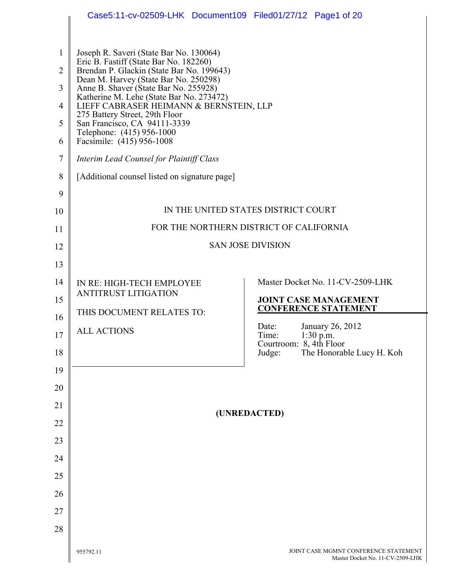|                | Case5:11-cv-02509-LHK Document109 Filed01/27/12 Page1 of 20                                                           |                          |                                         |                                                             |
|----------------|-----------------------------------------------------------------------------------------------------------------------|--------------------------|-----------------------------------------|-------------------------------------------------------------|
|                |                                                                                                                       |                          |                                         |                                                             |
| 1              | Joseph R. Saveri (State Bar No. 130064)                                                                               |                          |                                         |                                                             |
| $\overline{2}$ | Eric B. Fastiff (State Bar No. 182260)<br>Brendan P. Glackin (State Bar No. 199643)                                   |                          |                                         |                                                             |
| 3              | Dean M. Harvey (State Bar No. 250298)<br>Anne B. Shaver (State Bar No. 255928)                                        |                          |                                         |                                                             |
| 4              | Katherine M. Lehe (State Bar No. 273472)<br>LIEFF CABRASER HEIMANN & BERNSTEIN, LLP<br>275 Battery Street, 29th Floor |                          |                                         |                                                             |
| 5              | San Francisco, CA 94111-3339<br>Telephone: (415) 956-1000                                                             |                          |                                         |                                                             |
| 6              | Facsimile: (415) 956-1008                                                                                             |                          |                                         |                                                             |
| $\tau$         | Interim Lead Counsel for Plaintiff Class                                                                              |                          |                                         |                                                             |
| 8              | [Additional counsel listed on signature page]                                                                         |                          |                                         |                                                             |
| 9              |                                                                                                                       |                          |                                         |                                                             |
| 10             |                                                                                                                       |                          | IN THE UNITED STATES DISTRICT COURT     |                                                             |
| 11             |                                                                                                                       |                          | FOR THE NORTHERN DISTRICT OF CALIFORNIA |                                                             |
| 12             |                                                                                                                       | <b>SAN JOSE DIVISION</b> |                                         |                                                             |
| 13             |                                                                                                                       |                          |                                         |                                                             |
| 14             | IN RE: HIGH-TECH EMPLOYEE                                                                                             |                          |                                         | Master Docket No. 11-CV-2509-LHK                            |
| 15             | <b>ANTITRUST LITIGATION</b>                                                                                           |                          |                                         | <b>JOINT CASE MANAGEMENT</b><br><b>CONFERENCE STATEMENT</b> |
| 16             | THIS DOCUMENT RELATES TO:                                                                                             |                          | Date:                                   | January 26, 2012                                            |
| 17             | <b>ALL ACTIONS</b>                                                                                                    |                          | Time:<br>Courtroom: 8, 4th Floor        | $1:30$ p.m.                                                 |
| 18             |                                                                                                                       |                          | Judge:                                  | The Honorable Lucy H. Koh                                   |
| 19             |                                                                                                                       |                          |                                         |                                                             |
| 20             |                                                                                                                       |                          |                                         |                                                             |
| 21             |                                                                                                                       | (UNREDACTED)             |                                         |                                                             |
| 22             |                                                                                                                       |                          |                                         |                                                             |
| 23             |                                                                                                                       |                          |                                         |                                                             |
| 24             |                                                                                                                       |                          |                                         |                                                             |
| 25             |                                                                                                                       |                          |                                         |                                                             |
| 26             |                                                                                                                       |                          |                                         |                                                             |
| 27             |                                                                                                                       |                          |                                         |                                                             |
|                |                                                                                                                       |                          |                                         |                                                             |
| 28             |                                                                                                                       |                          |                                         |                                                             |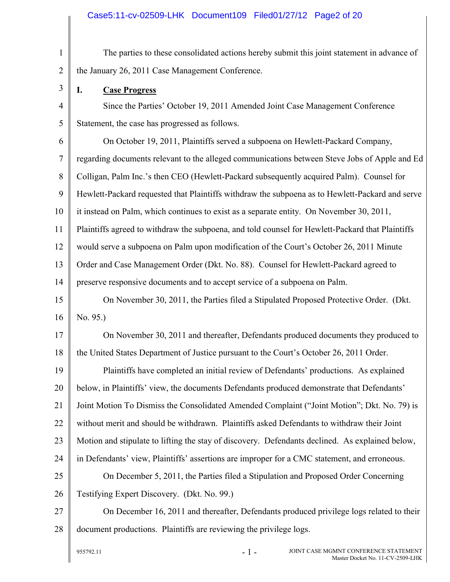### Case5:11-cv-02509-LHK Document109 Filed01/27/12 Page2 of 20

1 2 The parties to these consolidated actions hereby submit this joint statement in advance of the January 26, 2011 Case Management Conference.

**I. Case Progress**

3

4

5

Since the Parties' October 19, 2011 Amended Joint Case Management Conference Statement, the case has progressed as follows.

6 7 8 9 10 11 12 13 14 On October 19, 2011, Plaintiffs served a subpoena on Hewlett-Packard Company, regarding documents relevant to the alleged communications between Steve Jobs of Apple and Ed Colligan, Palm Inc.'s then CEO (Hewlett-Packard subsequently acquired Palm). Counsel for Hewlett-Packard requested that Plaintiffs withdraw the subpoena as to Hewlett-Packard and serve it instead on Palm, which continues to exist as a separate entity. On November 30, 2011, Plaintiffs agreed to withdraw the subpoena, and told counsel for Hewlett-Packard that Plaintiffs would serve a subpoena on Palm upon modification of the Court's October 26, 2011 Minute Order and Case Management Order (Dkt. No. 88). Counsel for Hewlett-Packard agreed to preserve responsive documents and to accept service of a subpoena on Palm.

15 16 On November 30, 2011, the Parties filed a Stipulated Proposed Protective Order. (Dkt. No. 95.)

17 18 On November 30, 2011 and thereafter, Defendants produced documents they produced to the United States Department of Justice pursuant to the Court's October 26, 2011 Order.

19 20 21 22 23 24 25 26 Plaintiffs have completed an initial review of Defendants' productions. As explained below, in Plaintiffs' view, the documents Defendants produced demonstrate that Defendants' Joint Motion To Dismiss the Consolidated Amended Complaint ("Joint Motion"; Dkt. No. 79) is without merit and should be withdrawn. Plaintiffs asked Defendants to withdraw their Joint Motion and stipulate to lifting the stay of discovery. Defendants declined. As explained below, in Defendants' view, Plaintiffs' assertions are improper for a CMC statement, and erroneous. On December 5, 2011, the Parties filed a Stipulation and Proposed Order Concerning Testifying Expert Discovery. (Dkt. No. 99.)

27 28 On December 16, 2011 and thereafter, Defendants produced privilege logs related to their document productions. Plaintiffs are reviewing the privilege logs.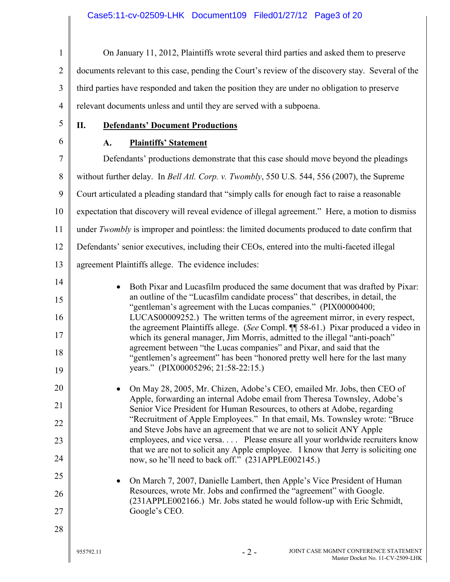| $\mathbf{1}$                                                               | On January 11, 2012, Plaintiffs wrote several third parties and asked them to preserve                                                                                                                                                                                                                                                                                                                                                                                                                                                                                                                                                                                                                                                                                                                                                                                                                                                                                                                                                                                                                                                                                                                                                                                                                                                                                                                                                                                                                                                    |  |  |
|----------------------------------------------------------------------------|-------------------------------------------------------------------------------------------------------------------------------------------------------------------------------------------------------------------------------------------------------------------------------------------------------------------------------------------------------------------------------------------------------------------------------------------------------------------------------------------------------------------------------------------------------------------------------------------------------------------------------------------------------------------------------------------------------------------------------------------------------------------------------------------------------------------------------------------------------------------------------------------------------------------------------------------------------------------------------------------------------------------------------------------------------------------------------------------------------------------------------------------------------------------------------------------------------------------------------------------------------------------------------------------------------------------------------------------------------------------------------------------------------------------------------------------------------------------------------------------------------------------------------------------|--|--|
| $\overline{2}$                                                             | documents relevant to this case, pending the Court's review of the discovery stay. Several of the                                                                                                                                                                                                                                                                                                                                                                                                                                                                                                                                                                                                                                                                                                                                                                                                                                                                                                                                                                                                                                                                                                                                                                                                                                                                                                                                                                                                                                         |  |  |
| 3                                                                          | third parties have responded and taken the position they are under no obligation to preserve                                                                                                                                                                                                                                                                                                                                                                                                                                                                                                                                                                                                                                                                                                                                                                                                                                                                                                                                                                                                                                                                                                                                                                                                                                                                                                                                                                                                                                              |  |  |
| $\overline{4}$                                                             | relevant documents unless and until they are served with a subpoena.                                                                                                                                                                                                                                                                                                                                                                                                                                                                                                                                                                                                                                                                                                                                                                                                                                                                                                                                                                                                                                                                                                                                                                                                                                                                                                                                                                                                                                                                      |  |  |
| 5                                                                          | <b>Defendants' Document Productions</b><br>П.                                                                                                                                                                                                                                                                                                                                                                                                                                                                                                                                                                                                                                                                                                                                                                                                                                                                                                                                                                                                                                                                                                                                                                                                                                                                                                                                                                                                                                                                                             |  |  |
| 6                                                                          | <b>Plaintiffs' Statement</b><br>A.                                                                                                                                                                                                                                                                                                                                                                                                                                                                                                                                                                                                                                                                                                                                                                                                                                                                                                                                                                                                                                                                                                                                                                                                                                                                                                                                                                                                                                                                                                        |  |  |
| 7                                                                          | Defendants' productions demonstrate that this case should move beyond the pleadings                                                                                                                                                                                                                                                                                                                                                                                                                                                                                                                                                                                                                                                                                                                                                                                                                                                                                                                                                                                                                                                                                                                                                                                                                                                                                                                                                                                                                                                       |  |  |
| 8                                                                          | without further delay. In Bell Atl. Corp. v. Twombly, 550 U.S. 544, 556 (2007), the Supreme                                                                                                                                                                                                                                                                                                                                                                                                                                                                                                                                                                                                                                                                                                                                                                                                                                                                                                                                                                                                                                                                                                                                                                                                                                                                                                                                                                                                                                               |  |  |
| 9                                                                          | Court articulated a pleading standard that "simply calls for enough fact to raise a reasonable                                                                                                                                                                                                                                                                                                                                                                                                                                                                                                                                                                                                                                                                                                                                                                                                                                                                                                                                                                                                                                                                                                                                                                                                                                                                                                                                                                                                                                            |  |  |
| 10                                                                         | expectation that discovery will reveal evidence of illegal agreement." Here, a motion to dismiss                                                                                                                                                                                                                                                                                                                                                                                                                                                                                                                                                                                                                                                                                                                                                                                                                                                                                                                                                                                                                                                                                                                                                                                                                                                                                                                                                                                                                                          |  |  |
| 11                                                                         | under Twombly is improper and pointless: the limited documents produced to date confirm that                                                                                                                                                                                                                                                                                                                                                                                                                                                                                                                                                                                                                                                                                                                                                                                                                                                                                                                                                                                                                                                                                                                                                                                                                                                                                                                                                                                                                                              |  |  |
| 12                                                                         | Defendants' senior executives, including their CEOs, entered into the multi-faceted illegal                                                                                                                                                                                                                                                                                                                                                                                                                                                                                                                                                                                                                                                                                                                                                                                                                                                                                                                                                                                                                                                                                                                                                                                                                                                                                                                                                                                                                                               |  |  |
| 13                                                                         | agreement Plaintiffs allege. The evidence includes:                                                                                                                                                                                                                                                                                                                                                                                                                                                                                                                                                                                                                                                                                                                                                                                                                                                                                                                                                                                                                                                                                                                                                                                                                                                                                                                                                                                                                                                                                       |  |  |
| 14<br>15<br>16<br>17<br>18<br>19<br>20<br>21<br>22<br>23<br>24<br>25<br>26 | Both Pixar and Lucasfilm produced the same document that was drafted by Pixar:<br>an outline of the "Lucasfilm candidate process" that describes, in detail, the<br>"gentleman's agreement with the Lucas companies." (PIX00000400;<br>LUCAS00009252.) The written terms of the agreement mirror, in every respect,<br>the agreement Plaintiffs allege. (See Compl. ¶ 58-61.) Pixar produced a video in<br>which its general manager, Jim Morris, admitted to the illegal "anti-poach"<br>agreement between "the Lucas companies" and Pixar, and said that the<br>"gentlemen's agreement" has been "honored pretty well here for the last many<br>years." (PIX00005296; 21:58-22:15.)<br>On May 28, 2005, Mr. Chizen, Adobe's CEO, emailed Mr. Jobs, then CEO of<br>Apple, forwarding an internal Adobe email from Theresa Townsley, Adobe's<br>Senior Vice President for Human Resources, to others at Adobe, regarding<br>"Recruitment of Apple Employees." In that email, Ms. Townsley wrote: "Bruce<br>and Steve Jobs have an agreement that we are not to solicit ANY Apple<br>employees, and vice versa Please ensure all your worldwide recruiters know<br>that we are not to solicit any Apple employee. I know that Jerry is soliciting one<br>now, so he'll need to back off." (231APPLE002145.)<br>On March 7, 2007, Danielle Lambert, then Apple's Vice President of Human<br>Resources, wrote Mr. Jobs and confirmed the "agreement" with Google.<br>(231APPLE002166.) Mr. Jobs stated he would follow-up with Eric Schmidt, |  |  |
| 27<br>28                                                                   | Google's CEO.<br>$-2-$<br>JOINT CASE MGMNT CONFERENCE STATEMENT<br>955792.11<br>Master Docket No. 11-CV-2509-LHK                                                                                                                                                                                                                                                                                                                                                                                                                                                                                                                                                                                                                                                                                                                                                                                                                                                                                                                                                                                                                                                                                                                                                                                                                                                                                                                                                                                                                          |  |  |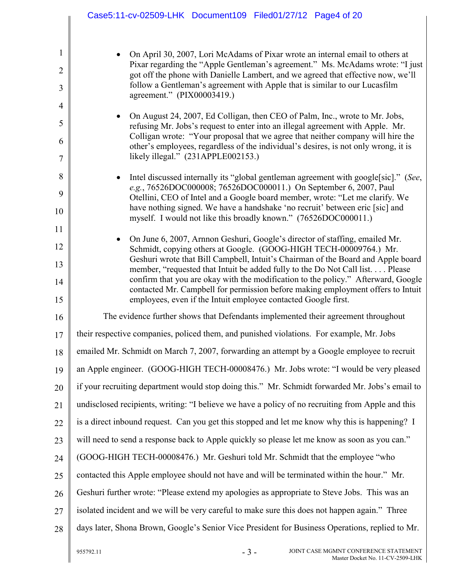|                                                       | Case5:11-cv-02509-LHK Document109 Filed01/27/12 Page4 of 20                                                                                                                                                                                                                                                                                                                                                                                                                                                                                                    |  |  |
|-------------------------------------------------------|----------------------------------------------------------------------------------------------------------------------------------------------------------------------------------------------------------------------------------------------------------------------------------------------------------------------------------------------------------------------------------------------------------------------------------------------------------------------------------------------------------------------------------------------------------------|--|--|
| $\mathbf{1}$<br>$\overline{2}$<br>3<br>$\overline{4}$ | On April 30, 2007, Lori McAdams of Pixar wrote an internal email to others at<br>Pixar regarding the "Apple Gentleman's agreement." Ms. McAdams wrote: "I just<br>got off the phone with Danielle Lambert, and we agreed that effective now, we'll<br>follow a Gentleman's agreement with Apple that is similar to our Lucasfilm<br>agreement." (PIX00003419.)                                                                                                                                                                                                 |  |  |
| 5<br>6<br>7                                           | On August 24, 2007, Ed Colligan, then CEO of Palm, Inc., wrote to Mr. Jobs,<br>refusing Mr. Jobs's request to enter into an illegal agreement with Apple. Mr.<br>Colligan wrote: "Your proposal that we agree that neither company will hire the<br>other's employees, regardless of the individual's desires, is not only wrong, it is<br>likely illegal." (231APPLE002153.)                                                                                                                                                                                  |  |  |
| 8<br>9<br>10<br>11                                    | Intel discussed internally its "global gentleman agreement with google[sic]." (See,<br>e.g., 76526DOC000008; 76526DOC000011.) On September 6, 2007, Paul<br>Otellini, CEO of Intel and a Google board member, wrote: "Let me clarify. We<br>have nothing signed. We have a handshake 'no recruit' between eric [sic] and<br>myself. I would not like this broadly known." (76526DOC000011.)                                                                                                                                                                    |  |  |
| 12<br>13<br>14<br>15                                  | On June 6, 2007, Arnnon Geshuri, Google's director of staffing, emailed Mr.<br>Schmidt, copying others at Google. (GOOG-HIGH TECH-00009764.) Mr.<br>Geshuri wrote that Bill Campbell, Intuit's Chairman of the Board and Apple board<br>member, "requested that Intuit be added fully to the Do Not Call list Please<br>confirm that you are okay with the modification to the policy." Afterward, Google<br>contacted Mr. Campbell for permission before making employment offers to Intuit<br>employees, even if the Intuit employee contacted Google first. |  |  |
| 16                                                    | The evidence further shows that Defendants implemented their agreement throughout                                                                                                                                                                                                                                                                                                                                                                                                                                                                              |  |  |
| 17                                                    | their respective companies, policed them, and punished violations. For example, Mr. Jobs                                                                                                                                                                                                                                                                                                                                                                                                                                                                       |  |  |
| 18                                                    | emailed Mr. Schmidt on March 7, 2007, forwarding an attempt by a Google employee to recruit                                                                                                                                                                                                                                                                                                                                                                                                                                                                    |  |  |
| 19                                                    | an Apple engineer. (GOOG-HIGH TECH-00008476.) Mr. Jobs wrote: "I would be very pleased                                                                                                                                                                                                                                                                                                                                                                                                                                                                         |  |  |
| 20                                                    | if your recruiting department would stop doing this." Mr. Schmidt forwarded Mr. Jobs's email to                                                                                                                                                                                                                                                                                                                                                                                                                                                                |  |  |
| 21                                                    | undisclosed recipients, writing: "I believe we have a policy of no recruiting from Apple and this                                                                                                                                                                                                                                                                                                                                                                                                                                                              |  |  |
| 22                                                    | is a direct inbound request. Can you get this stopped and let me know why this is happening? I                                                                                                                                                                                                                                                                                                                                                                                                                                                                 |  |  |
| 23                                                    | will need to send a response back to Apple quickly so please let me know as soon as you can."                                                                                                                                                                                                                                                                                                                                                                                                                                                                  |  |  |
| 24                                                    | (GOOG-HIGH TECH-00008476.) Mr. Geshuri told Mr. Schmidt that the employee "who                                                                                                                                                                                                                                                                                                                                                                                                                                                                                 |  |  |
| 25                                                    | contacted this Apple employee should not have and will be terminated within the hour." Mr.                                                                                                                                                                                                                                                                                                                                                                                                                                                                     |  |  |
| 26                                                    | Geshuri further wrote: "Please extend my apologies as appropriate to Steve Jobs. This was an                                                                                                                                                                                                                                                                                                                                                                                                                                                                   |  |  |
| 27                                                    | isolated incident and we will be very careful to make sure this does not happen again." Three                                                                                                                                                                                                                                                                                                                                                                                                                                                                  |  |  |
| 28                                                    | days later, Shona Brown, Google's Senior Vice President for Business Operations, replied to Mr.                                                                                                                                                                                                                                                                                                                                                                                                                                                                |  |  |
|                                                       | $-3-$<br>JOINT CASE MGMNT CONFERENCE STATEMENT<br>955792.11<br>Master Docket No. 11-CV-2509-LHK                                                                                                                                                                                                                                                                                                                                                                                                                                                                |  |  |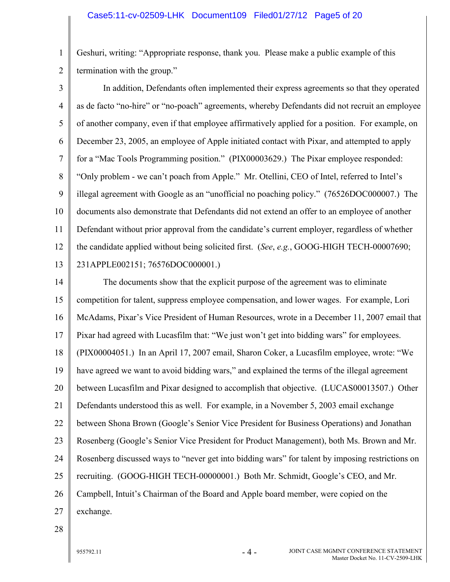Geshuri, writing: "Appropriate response, thank you. Please make a public example of this termination with the group."

3 4 5 6 7 8 9 10 11 12 13 In addition, Defendants often implemented their express agreements so that they operated as de facto "no-hire" or "no-poach" agreements, whereby Defendants did not recruit an employee of another company, even if that employee affirmatively applied for a position. For example, on December 23, 2005, an employee of Apple initiated contact with Pixar, and attempted to apply for a "Mac Tools Programming position." (PIX00003629.) The Pixar employee responded: "Only problem - we can't poach from Apple." Mr. Otellini, CEO of Intel, referred to Intel's illegal agreement with Google as an "unofficial no poaching policy." (76526DOC000007.) The documents also demonstrate that Defendants did not extend an offer to an employee of another Defendant without prior approval from the candidate's current employer, regardless of whether the candidate applied without being solicited first. (*See*, *e.g.*, GOOG-HIGH TECH-00007690; 231APPLE002151; 76576DOC000001.)

14 15 16 17 18 19 20 21 22 23 24 25 26 27 The documents show that the explicit purpose of the agreement was to eliminate competition for talent, suppress employee compensation, and lower wages. For example, Lori McAdams, Pixar's Vice President of Human Resources, wrote in a December 11, 2007 email that Pixar had agreed with Lucasfilm that: "We just won't get into bidding wars" for employees. (PIX00004051.) In an April 17, 2007 email, Sharon Coker, a Lucasfilm employee, wrote: "We have agreed we want to avoid bidding wars," and explained the terms of the illegal agreement between Lucasfilm and Pixar designed to accomplish that objective. (LUCAS00013507.) Other Defendants understood this as well. For example, in a November 5, 2003 email exchange between Shona Brown (Google's Senior Vice President for Business Operations) and Jonathan Rosenberg (Google's Senior Vice President for Product Management), both Ms. Brown and Mr. Rosenberg discussed ways to "never get into bidding wars" for talent by imposing restrictions on recruiting. (GOOG-HIGH TECH-00000001.) Both Mr. Schmidt, Google's CEO, and Mr. Campbell, Intuit's Chairman of the Board and Apple board member, were copied on the exchange.

28

1

2

 $955792.11$  - 4 -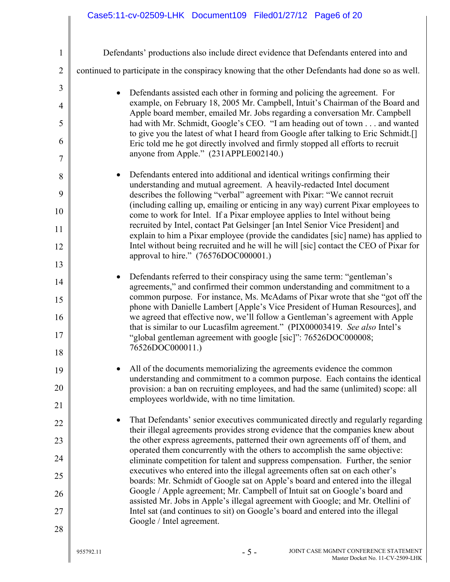| $\mathbf{1}$        | Defendants' productions also include direct evidence that Defendants entered into and                                                                                                                                                              |  |  |  |
|---------------------|----------------------------------------------------------------------------------------------------------------------------------------------------------------------------------------------------------------------------------------------------|--|--|--|
| $\overline{2}$      | continued to participate in the conspiracy knowing that the other Defendants had done so as well.                                                                                                                                                  |  |  |  |
| 3<br>$\overline{4}$ | Defendants assisted each other in forming and policing the agreement. For<br>$\bullet$<br>example, on February 18, 2005 Mr. Campbell, Intuit's Chairman of the Board and                                                                           |  |  |  |
| 5                   | Apple board member, emailed Mr. Jobs regarding a conversation Mr. Campbell<br>had with Mr. Schmidt, Google's CEO. "I am heading out of town and wanted                                                                                             |  |  |  |
| 6                   | to give you the latest of what I heard from Google after talking to Eric Schmidt.[]<br>Eric told me he got directly involved and firmly stopped all efforts to recruit                                                                             |  |  |  |
| 7                   | anyone from Apple." (231APPLE002140.)                                                                                                                                                                                                              |  |  |  |
| 8                   | Defendants entered into additional and identical writings confirming their<br>$\bullet$<br>understanding and mutual agreement. A heavily-redacted Intel document                                                                                   |  |  |  |
| 9<br>10             | describes the following "verbal" agreement with Pixar: "We cannot recruit<br>(including calling up, emailing or enticing in any way) current Pixar employees to                                                                                    |  |  |  |
| 11                  | come to work for Intel. If a Pixar employee applies to Intel without being<br>recruited by Intel, contact Pat Gelsinger [an Intel Senior Vice President] and<br>explain to him a Pixar employee (provide the candidates [sic] name) has applied to |  |  |  |
| 12                  | Intel without being recruited and he will he will [sic] contact the CEO of Pixar for<br>approval to hire." (76576DOC000001.)                                                                                                                       |  |  |  |
| 13                  |                                                                                                                                                                                                                                                    |  |  |  |
| 14                  | Defendants referred to their conspiracy using the same term: "gentleman's<br>agreements," and confirmed their common understanding and commitment to a                                                                                             |  |  |  |
| 15<br>16            | common purpose. For instance, Ms. McAdams of Pixar wrote that she "got off the<br>phone with Danielle Lambert [Apple's Vice President of Human Resources], and<br>we agreed that effective now, we'll follow a Gentleman's agreement with Apple    |  |  |  |
| 17                  | that is similar to our Lucasfilm agreement." (PIX00003419. See also Intel's<br>"global gentleman agreement with google [sic]": 76526DOC000008;                                                                                                     |  |  |  |
| 18                  | 76526DOC000011.)                                                                                                                                                                                                                                   |  |  |  |
| 19                  | All of the documents memorializing the agreements evidence the common<br>understanding and commitment to a common purpose. Each contains the identical                                                                                             |  |  |  |
| 20                  | provision: a ban on recruiting employees, and had the same (unlimited) scope: all<br>employees worldwide, with no time limitation.                                                                                                                 |  |  |  |
| 21                  |                                                                                                                                                                                                                                                    |  |  |  |
| 22                  | That Defendants' senior executives communicated directly and regularly regarding<br>their illegal agreements provides strong evidence that the companies knew about                                                                                |  |  |  |
| 23                  | the other express agreements, patterned their own agreements off of them, and                                                                                                                                                                      |  |  |  |
| 24                  | operated them concurrently with the others to accomplish the same objective:<br>eliminate competition for talent and suppress compensation. Further, the senior                                                                                    |  |  |  |
| 25                  | executives who entered into the illegal agreements often sat on each other's<br>boards: Mr. Schmidt of Google sat on Apple's board and entered into the illegal                                                                                    |  |  |  |
| 26                  | Google / Apple agreement; Mr. Campbell of Intuit sat on Google's board and                                                                                                                                                                         |  |  |  |
| 27                  | assisted Mr. Jobs in Apple's illegal agreement with Google; and Mr. Otellini of<br>Intel sat (and continues to sit) on Google's board and entered into the illegal                                                                                 |  |  |  |
| 28                  | Google / Intel agreement.                                                                                                                                                                                                                          |  |  |  |
|                     |                                                                                                                                                                                                                                                    |  |  |  |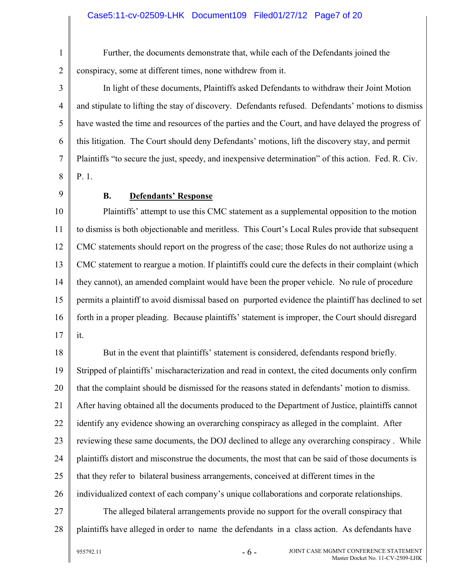#### Case5:11-cv-02509-LHK Document109 Filed01/27/12 Page7 of 20

Further, the documents demonstrate that, while each of the Defendants joined the conspiracy, some at different times, none withdrew from it.

3 4 5 6 7 8 In light of these documents, Plaintiffs asked Defendants to withdraw their Joint Motion and stipulate to lifting the stay of discovery. Defendants refused. Defendants' motions to dismiss have wasted the time and resources of the parties and the Court, and have delayed the progress of this litigation. The Court should deny Defendants' motions, lift the discovery stay, and permit Plaintiffs "to secure the just, speedy, and inexpensive determination" of this action. Fed. R. Civ. P. 1.

9

1

2

# **B. Defendants' Response**

10 11 12 13 14 15 16 17 Plaintiffs' attempt to use this CMC statement as a supplemental opposition to the motion to dismiss is both objectionable and meritless. This Court's Local Rules provide that subsequent CMC statements should report on the progress of the case; those Rules do not authorize using a CMC statement to reargue a motion. If plaintiffs could cure the defects in their complaint (which they cannot), an amended complaint would have been the proper vehicle. No rule of procedure permits a plaintiff to avoid dismissal based on purported evidence the plaintiff has declined to set forth in a proper pleading. Because plaintiffs' statement is improper, the Court should disregard it.

18 19 20 21 22 23 24 25 26 27 But in the event that plaintiffs' statement is considered, defendants respond briefly. Stripped of plaintiffs' mischaracterization and read in context, the cited documents only confirm that the complaint should be dismissed for the reasons stated in defendants' motion to dismiss. After having obtained all the documents produced to the Department of Justice, plaintiffs cannot identify any evidence showing an overarching conspiracy as alleged in the complaint. After reviewing these same documents, the DOJ declined to allege any overarching conspiracy . While plaintiffs distort and misconstrue the documents, the most that can be said of those documents is that they refer to bilateral business arrangements, conceived at different times in the individualized context of each company's unique collaborations and corporate relationships. The alleged bilateral arrangements provide no support for the overall conspiracy that

28

plaintiffs have alleged in order to name the defendants in a class action. As defendants have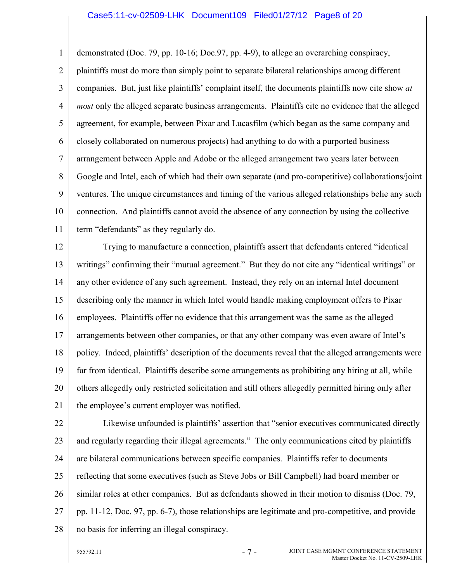#### Case5:11-cv-02509-LHK Document109 Filed01/27/12 Page8 of 20

1 2 3 4 5 6 7 8 9 10 11 demonstrated (Doc. 79, pp. 10-16; Doc.97, pp. 4-9), to allege an overarching conspiracy, plaintiffs must do more than simply point to separate bilateral relationships among different companies. But, just like plaintiffs' complaint itself, the documents plaintiffs now cite show *at most* only the alleged separate business arrangements. Plaintiffs cite no evidence that the alleged agreement, for example, between Pixar and Lucasfilm (which began as the same company and closely collaborated on numerous projects) had anything to do with a purported business arrangement between Apple and Adobe or the alleged arrangement two years later between Google and Intel, each of which had their own separate (and pro-competitive) collaborations/joint ventures. The unique circumstances and timing of the various alleged relationships belie any such connection. And plaintiffs cannot avoid the absence of any connection by using the collective term "defendants" as they regularly do.

12 13 14 15 16 17 18 19 20 21 Trying to manufacture a connection, plaintiffs assert that defendants entered "identical writings" confirming their "mutual agreement." But they do not cite any "identical writings" or any other evidence of any such agreement. Instead, they rely on an internal Intel document describing only the manner in which Intel would handle making employment offers to Pixar employees. Plaintiffs offer no evidence that this arrangement was the same as the alleged arrangements between other companies, or that any other company was even aware of Intel's policy. Indeed, plaintiffs' description of the documents reveal that the alleged arrangements were far from identical. Plaintiffs describe some arrangements as prohibiting any hiring at all, while others allegedly only restricted solicitation and still others allegedly permitted hiring only after the employee's current employer was notified.

22 23 24 25 26 27 28 Likewise unfounded is plaintiffs' assertion that "senior executives communicated directly and regularly regarding their illegal agreements." The only communications cited by plaintiffs are bilateral communications between specific companies. Plaintiffs refer to documents reflecting that some executives (such as Steve Jobs or Bill Campbell) had board member or similar roles at other companies. But as defendants showed in their motion to dismiss (Doc. 79, pp. 11-12, Doc. 97, pp. 6-7), those relationships are legitimate and pro-competitive, and provide no basis for inferring an illegal conspiracy.

 $955792.11$  -  $7$  -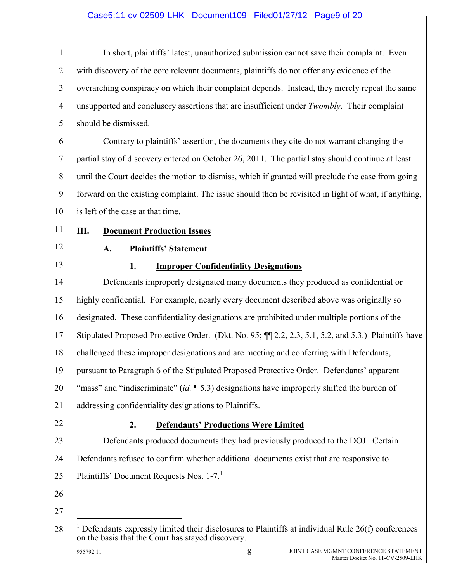# Case5:11-cv-02509-LHK Document109 Filed01/27/12 Page9 of 20

| $\mathbf{1}$   | In short, plaintiffs' latest, unauthorized submission cannot save their complaint. Even                                                                              |  |  |
|----------------|----------------------------------------------------------------------------------------------------------------------------------------------------------------------|--|--|
| $\overline{2}$ | with discovery of the core relevant documents, plaintiffs do not offer any evidence of the                                                                           |  |  |
| 3              | overarching conspiracy on which their complaint depends. Instead, they merely repeat the same                                                                        |  |  |
| $\overline{4}$ | unsupported and conclusory assertions that are insufficient under <i>Twombly</i> . Their complaint                                                                   |  |  |
| 5              | should be dismissed.                                                                                                                                                 |  |  |
| 6              | Contrary to plaintiffs' assertion, the documents they cite do not warrant changing the                                                                               |  |  |
| 7              | partial stay of discovery entered on October 26, 2011. The partial stay should continue at least                                                                     |  |  |
| 8              | until the Court decides the motion to dismiss, which if granted will preclude the case from going                                                                    |  |  |
| 9              | forward on the existing complaint. The issue should then be revisited in light of what, if anything,                                                                 |  |  |
| 10             | is left of the case at that time.                                                                                                                                    |  |  |
| 11             | Ш.<br><b>Document Production Issues</b>                                                                                                                              |  |  |
| 12             | <b>Plaintiffs' Statement</b><br>A.                                                                                                                                   |  |  |
| 13             | 1.<br><b>Improper Confidentiality Designations</b>                                                                                                                   |  |  |
| 14             | Defendants improperly designated many documents they produced as confidential or                                                                                     |  |  |
| 15             | highly confidential. For example, nearly every document described above was originally so                                                                            |  |  |
| 16             | designated. These confidentiality designations are prohibited under multiple portions of the                                                                         |  |  |
| 17             | Stipulated Proposed Protective Order. (Dkt. No. 95; [1] 2.2, 2.3, 5.1, 5.2, and 5.3.) Plaintiffs have                                                                |  |  |
| 18             | challenged these improper designations and are meeting and conferring with Defendants,                                                                               |  |  |
| 19             | pursuant to Paragraph 6 of the Stipulated Proposed Protective Order. Defendants' apparent                                                                            |  |  |
| 20             | "mass" and "indiscriminate" (id. 15.3) designations have improperly shifted the burden of                                                                            |  |  |
| 21             | addressing confidentiality designations to Plaintiffs.                                                                                                               |  |  |
| 22             | 2.<br><b>Defendants' Productions Were Limited</b>                                                                                                                    |  |  |
| 23             | Defendants produced documents they had previously produced to the DOJ. Certain                                                                                       |  |  |
| 24             | Defendants refused to confirm whether additional documents exist that are responsive to                                                                              |  |  |
| 25             | Plaintiffs' Document Requests Nos. 1-7.                                                                                                                              |  |  |
| 26             |                                                                                                                                                                      |  |  |
| 27             |                                                                                                                                                                      |  |  |
| 28             | $\frac{1}{1}$ Defendants expressly limited their disclosures to Plaintiffs at individual Rule 26(f) conferences<br>on the basis that the Court has stayed discovery. |  |  |
|                | $-8-$<br>955792.11<br>JOINT CASE MGMNT CONFERENCE STATEMENT<br>Master Docket No. 11-CV-2509-LHK                                                                      |  |  |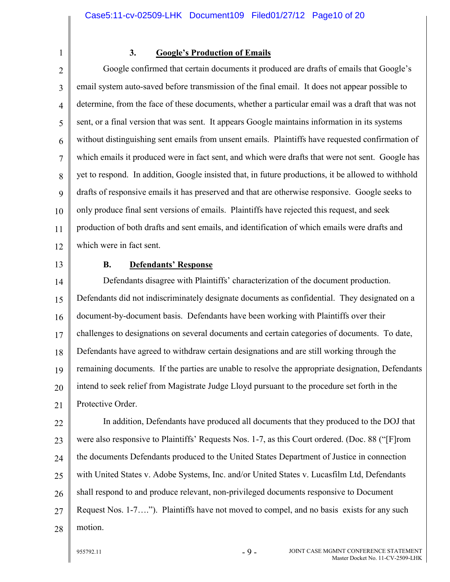1

# **3. Google's Production of Emails**

2 3 4 5 6 7 8 9 10 11 12 Google confirmed that certain documents it produced are drafts of emails that Google's email system auto-saved before transmission of the final email. It does not appear possible to determine, from the face of these documents, whether a particular email was a draft that was not sent, or a final version that was sent. It appears Google maintains information in its systems without distinguishing sent emails from unsent emails. Plaintiffs have requested confirmation of which emails it produced were in fact sent, and which were drafts that were not sent. Google has yet to respond. In addition, Google insisted that, in future productions, it be allowed to withhold drafts of responsive emails it has preserved and that are otherwise responsive. Google seeks to only produce final sent versions of emails. Plaintiffs have rejected this request, and seek production of both drafts and sent emails, and identification of which emails were drafts and which were in fact sent.

13

### **B. Defendants' Response**

14 15 16 17 18 19 20 21 Defendants disagree with Plaintiffs' characterization of the document production. Defendants did not indiscriminately designate documents as confidential. They designated on a document-by-document basis. Defendants have been working with Plaintiffs over their challenges to designations on several documents and certain categories of documents. To date, Defendants have agreed to withdraw certain designations and are still working through the remaining documents. If the parties are unable to resolve the appropriate designation, Defendants intend to seek relief from Magistrate Judge Lloyd pursuant to the procedure set forth in the Protective Order.

22 23 24 25 26 27 28 In addition, Defendants have produced all documents that they produced to the DOJ that were also responsive to Plaintiffs' Requests Nos. 1-7, as this Court ordered. (Doc. 88 ("[F]rom the documents Defendants produced to the United States Department of Justice in connection with United States v. Adobe Systems, Inc. and/or United States v. Lucasfilm Ltd, Defendants shall respond to and produce relevant, non-privileged documents responsive to Document Request Nos. 1-7…."). Plaintiffs have not moved to compel, and no basis exists for any such motion.

 $955792.11$  - 9 -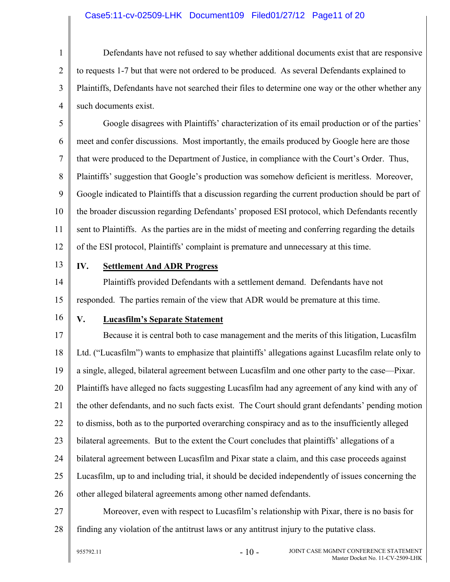#### Case5:11-cv-02509-LHK Document109 Filed01/27/12 Page11 of 20

1 2 3 4 Defendants have not refused to say whether additional documents exist that are responsive to requests 1-7 but that were not ordered to be produced. As several Defendants explained to Plaintiffs, Defendants have not searched their files to determine one way or the other whether any such documents exist.

5 6 7 8 9 10 11 12 Google disagrees with Plaintiffs' characterization of its email production or of the parties' meet and confer discussions. Most importantly, the emails produced by Google here are those that were produced to the Department of Justice, in compliance with the Court's Order. Thus, Plaintiffs' suggestion that Google's production was somehow deficient is meritless. Moreover, Google indicated to Plaintiffs that a discussion regarding the current production should be part of the broader discussion regarding Defendants' proposed ESI protocol, which Defendants recently sent to Plaintiffs. As the parties are in the midst of meeting and conferring regarding the details of the ESI protocol, Plaintiffs' complaint is premature and unnecessary at this time.

13

# **IV. Settlement And ADR Progress**

14 15 Plaintiffs provided Defendants with a settlement demand. Defendants have not responded. The parties remain of the view that ADR would be premature at this time.

16

#### **V. Lucasfilm's Separate Statement**

17 18 19 20 21 22 23 24 25 26 Because it is central both to case management and the merits of this litigation, Lucasfilm Ltd. ("Lucasfilm") wants to emphasize that plaintiffs' allegations against Lucasfilm relate only to a single, alleged, bilateral agreement between Lucasfilm and one other party to the case—Pixar. Plaintiffs have alleged no facts suggesting Lucasfilm had any agreement of any kind with any of the other defendants, and no such facts exist. The Court should grant defendants' pending motion to dismiss, both as to the purported overarching conspiracy and as to the insufficiently alleged bilateral agreements. But to the extent the Court concludes that plaintiffs' allegations of a bilateral agreement between Lucasfilm and Pixar state a claim, and this case proceeds against Lucasfilm, up to and including trial, it should be decided independently of issues concerning the other alleged bilateral agreements among other named defendants.

27 28 Moreover, even with respect to Lucasfilm's relationship with Pixar, there is no basis for finding any violation of the antitrust laws or any antitrust injury to the putative class.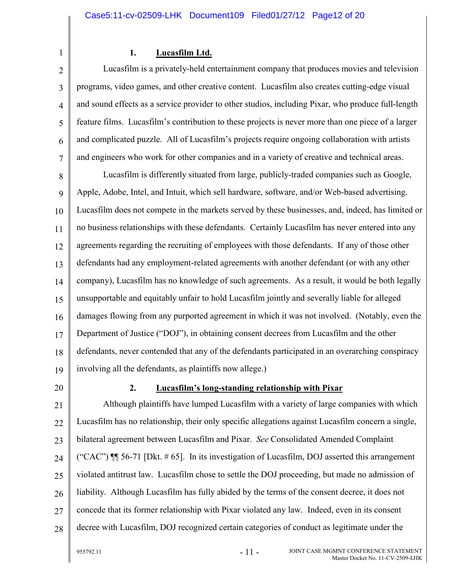1

# **1. Lucasfilm Ltd.**

2 3 4 5 6 7 Lucasfilm is a privately-held entertainment company that produces movies and television programs, video games, and other creative content. Lucasfilm also creates cutting-edge visual and sound effects as a service provider to other studios, including Pixar, who produce full-length feature films. Lucasfilm's contribution to these projects is never more than one piece of a larger and complicated puzzle. All of Lucasfilm's projects require ongoing collaboration with artists and engineers who work for other companies and in a variety of creative and technical areas.

8 9 10 11 12 13 14 15 16 17 18 19 Lucasfilm is differently situated from large, publicly-traded companies such as Google, Apple, Adobe, Intel, and Intuit, which sell hardware, software, and/or Web-based advertising. Lucasfilm does not compete in the markets served by these businesses, and, indeed, has limited or no business relationships with these defendants. Certainly Lucasfilm has never entered into any agreements regarding the recruiting of employees with those defendants. If any of those other defendants had any employment-related agreements with another defendant (or with any other company), Lucasfilm has no knowledge of such agreements. As a result, it would be both legally unsupportable and equitably unfair to hold Lucasfilm jointly and severally liable for alleged damages flowing from any purported agreement in which it was not involved. (Notably, even the Department of Justice ("DOJ"), in obtaining consent decrees from Lucasfilm and the other defendants, never contended that any of the defendants participated in an overarching conspiracy involving all the defendants, as plaintiffs now allege.)

20

### **2. Lucasfilm's long-standing relationship with Pixar**

21 22 23 24  $25$ 26 27 28 Although plaintiffs have lumped Lucasfilm with a variety of large companies with which Lucasfilm has no relationship, their only specific allegations against Lucasfilm concern a single, bilateral agreement between Lucasfilm and Pixar. *See* Consolidated Amended Complaint ("CAC")  $\P$  56-71 [Dkt. #65]. In its investigation of Lucasfilm, DOJ asserted this arrangement violated antitrust law. Lucasfilm chose to settle the DOJ proceeding, but made no admission of liability. Although Lucasfilm has fully abided by the terms of the consent decree, it does not concede that its former relationship with Pixar violated any law. Indeed, even in its consent decree with Lucasfilm, DOJ recognized certain categories of conduct as legitimate under the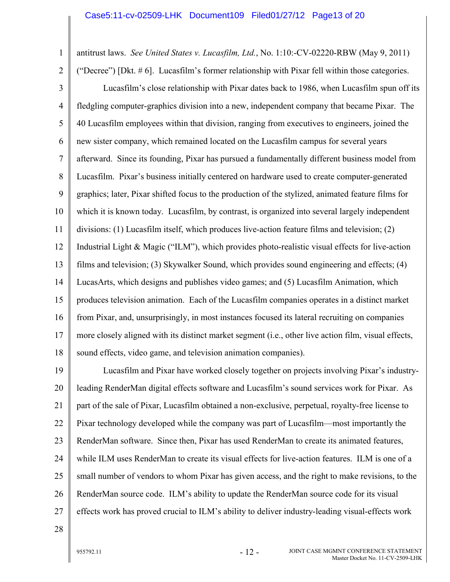antitrust laws. *See United States v. Lucasfilm, Ltd.*, No. 1:10:-CV-02220-RBW (May 9, 2011)

2

1

3 4 5 6 7 8 9 10 11 12 13 14 15 16 17 18 ("Decree") [Dkt. # 6]. Lucasfilm's former relationship with Pixar fell within those categories. Lucasfilm's close relationship with Pixar dates back to 1986, when Lucasfilm spun off its fledgling computer-graphics division into a new, independent company that became Pixar. The 40 Lucasfilm employees within that division, ranging from executives to engineers, joined the new sister company, which remained located on the Lucasfilm campus for several years afterward. Since its founding, Pixar has pursued a fundamentally different business model from Lucasfilm. Pixar's business initially centered on hardware used to create computer-generated graphics; later, Pixar shifted focus to the production of the stylized, animated feature films for which it is known today. Lucasfilm, by contrast, is organized into several largely independent divisions: (1) Lucasfilm itself, which produces live-action feature films and television; (2) Industrial Light & Magic ("ILM"), which provides photo-realistic visual effects for live-action films and television; (3) Skywalker Sound, which provides sound engineering and effects; (4) LucasArts, which designs and publishes video games; and (5) Lucasfilm Animation, which produces television animation. Each of the Lucasfilm companies operates in a distinct market from Pixar, and, unsurprisingly, in most instances focused its lateral recruiting on companies more closely aligned with its distinct market segment (i.e., other live action film, visual effects, sound effects, video game, and television animation companies).

19 20 21 22 23 24 25 26 27 Lucasfilm and Pixar have worked closely together on projects involving Pixar's industryleading RenderMan digital effects software and Lucasfilm's sound services work for Pixar. As part of the sale of Pixar, Lucasfilm obtained a non-exclusive, perpetual, royalty-free license to Pixar technology developed while the company was part of Lucasfilm—most importantly the RenderMan software. Since then, Pixar has used RenderMan to create its animated features, while ILM uses RenderMan to create its visual effects for live-action features. ILM is one of a small number of vendors to whom Pixar has given access, and the right to make revisions, to the RenderMan source code. ILM's ability to update the RenderMan source code for its visual effects work has proved crucial to ILM's ability to deliver industry-leading visual-effects work

28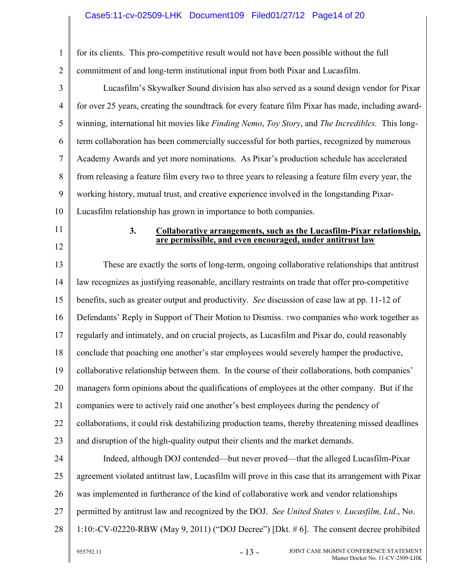# Case5:11-cv-02509-LHK Document109 Filed01/27/12 Page14 of 20

| 1              | for its clients. This pro-competitive result would not have been possible without the full                                               |  |  |
|----------------|------------------------------------------------------------------------------------------------------------------------------------------|--|--|
| $\overline{2}$ | commitment of and long-term institutional input from both Pixar and Lucasfilm.                                                           |  |  |
| 3              | Lucasfilm's Skywalker Sound division has also served as a sound design vendor for Pixar                                                  |  |  |
| $\overline{4}$ | for over 25 years, creating the soundtrack for every feature film Pixar has made, including award-                                       |  |  |
| 5              | winning, international hit movies like Finding Nemo, Toy Story, and The Incredibles. This long-                                          |  |  |
| 6              | term collaboration has been commercially successful for both parties, recognized by numerous                                             |  |  |
| 7              | Academy Awards and yet more nominations. As Pixar's production schedule has accelerated                                                  |  |  |
| 8              | from releasing a feature film every two to three years to releasing a feature film every year, the                                       |  |  |
| 9              | working history, mutual trust, and creative experience involved in the longstanding Pixar-                                               |  |  |
| 10             | Lucasfilm relationship has grown in importance to both companies.                                                                        |  |  |
| 11             | 3.<br>Collaborative arrangements, such as the Lucasfilm-Pixar relationship,<br>are permissible, and even encouraged, under antitrust law |  |  |
| 12             |                                                                                                                                          |  |  |
| 13             | These are exactly the sorts of long-term, ongoing collaborative relationships that antitrust                                             |  |  |
| 14             | law recognizes as justifying reasonable, ancillary restraints on trade that offer pro-competitive                                        |  |  |
| 15             | benefits, such as greater output and productivity. See discussion of case law at pp. 11-12 of                                            |  |  |
| 16             | Defendants' Reply in Support of Their Motion to Dismiss. Two companies who work together as                                              |  |  |
| 17             | regularly and intimately, and on crucial projects, as Lucasfilm and Pixar do, could reasonably                                           |  |  |
| 18             | conclude that poaching one another's star employees would severely hamper the productive,                                                |  |  |
| 19             | collaborative relationship between them. In the course of their collaborations, both companies'                                          |  |  |
| 20             | managers form opinions about the qualifications of employees at the other company. But if the                                            |  |  |
| 21             | companies were to actively raid one another's best employees during the pendency of                                                      |  |  |
| 22             | collaborations, it could risk destabilizing production teams, thereby threatening missed deadlines                                       |  |  |
| 23             | and disruption of the high-quality output their clients and the market demands.                                                          |  |  |
| 24             | Indeed, although DOJ contended—but never proved—that the alleged Lucasfilm-Pixar                                                         |  |  |
| 25             | agreement violated antitrust law, Lucasfilm will prove in this case that its arrangement with Pixar                                      |  |  |
| 26             | was implemented in furtherance of the kind of collaborative work and vendor relationships                                                |  |  |
| 27             | permitted by antitrust law and recognized by the DOJ. See United States v. Lucasfilm, Ltd., No.                                          |  |  |
| 28             | 1:10:-CV-02220-RBW (May 9, 2011) ("DOJ Decree") [Dkt. $\#$ 6]. The consent decree prohibited                                             |  |  |
|                | $-13-$<br>JOINT CASE MGMNT CONFERENCE STATEMENT<br>955792.11<br>Master Docket No. 11-CV-2509-LHK                                         |  |  |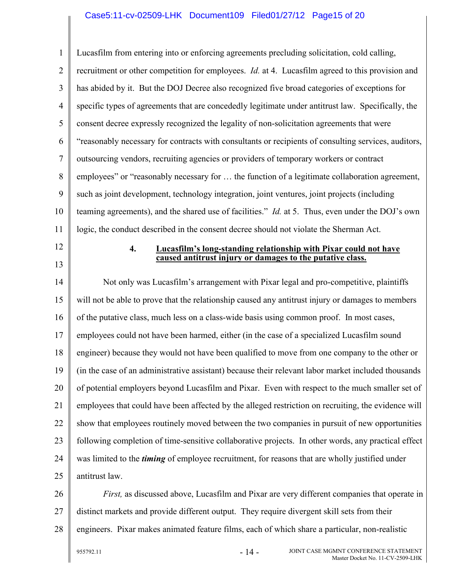1 2 3 4 5 6 7 8 9 10 11 Lucasfilm from entering into or enforcing agreements precluding solicitation, cold calling, recruitment or other competition for employees. *Id.* at 4. Lucasfilm agreed to this provision and has abided by it. But the DOJ Decree also recognized five broad categories of exceptions for specific types of agreements that are concededly legitimate under antitrust law. Specifically, the consent decree expressly recognized the legality of non-solicitation agreements that were "reasonably necessary for contracts with consultants or recipients of consulting services, auditors, outsourcing vendors, recruiting agencies or providers of temporary workers or contract employees" or "reasonably necessary for … the function of a legitimate collaboration agreement, such as joint development, technology integration, joint ventures, joint projects (including teaming agreements), and the shared use of facilities." *Id.* at 5. Thus, even under the DOJ's own logic, the conduct described in the consent decree should not violate the Sherman Act.

12

13

**4. Lucasfilm's long-standing relationship with Pixar could not have caused antitrust injury or damages to the putative class.**

14 15 16 17 18 19 20 21 22 23 24 25 Not only was Lucasfilm's arrangement with Pixar legal and pro-competitive, plaintiffs will not be able to prove that the relationship caused any antitrust injury or damages to members of the putative class, much less on a class-wide basis using common proof. In most cases, employees could not have been harmed, either (in the case of a specialized Lucasfilm sound engineer) because they would not have been qualified to move from one company to the other or (in the case of an administrative assistant) because their relevant labor market included thousands of potential employers beyond Lucasfilm and Pixar. Even with respect to the much smaller set of employees that could have been affected by the alleged restriction on recruiting, the evidence will show that employees routinely moved between the two companies in pursuit of new opportunities following completion of time-sensitive collaborative projects. In other words, any practical effect was limited to the *timing* of employee recruitment, for reasons that are wholly justified under antitrust law.

26 27 28 *First,* as discussed above, Lucasfilm and Pixar are very different companies that operate in distinct markets and provide different output. They require divergent skill sets from their engineers. Pixar makes animated feature films, each of which share a particular, non-realistic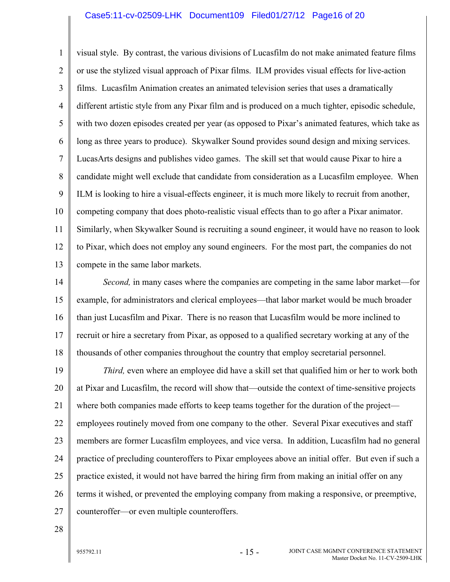#### Case5:11-cv-02509-LHK Document109 Filed01/27/12 Page16 of 20

1 2 3 4 5 6 7 8 9 10 11 12 13 visual style. By contrast, the various divisions of Lucasfilm do not make animated feature films or use the stylized visual approach of Pixar films. ILM provides visual effects for live-action films. Lucasfilm Animation creates an animated television series that uses a dramatically different artistic style from any Pixar film and is produced on a much tighter, episodic schedule, with two dozen episodes created per year (as opposed to Pixar's animated features, which take as long as three years to produce). Skywalker Sound provides sound design and mixing services. LucasArts designs and publishes video games. The skill set that would cause Pixar to hire a candidate might well exclude that candidate from consideration as a Lucasfilm employee. When ILM is looking to hire a visual-effects engineer, it is much more likely to recruit from another, competing company that does photo-realistic visual effects than to go after a Pixar animator. Similarly, when Skywalker Sound is recruiting a sound engineer, it would have no reason to look to Pixar, which does not employ any sound engineers. For the most part, the companies do not compete in the same labor markets.

14 15 16 17 18 *Second,* in many cases where the companies are competing in the same labor market—for example, for administrators and clerical employees—that labor market would be much broader than just Lucasfilm and Pixar. There is no reason that Lucasfilm would be more inclined to recruit or hire a secretary from Pixar, as opposed to a qualified secretary working at any of the thousands of other companies throughout the country that employ secretarial personnel.

19 20 21 22 23 24 25 26 27 *Third,* even where an employee did have a skill set that qualified him or her to work both at Pixar and Lucasfilm, the record will show that—outside the context of time-sensitive projects where both companies made efforts to keep teams together for the duration of the project employees routinely moved from one company to the other. Several Pixar executives and staff members are former Lucasfilm employees, and vice versa. In addition, Lucasfilm had no general practice of precluding counteroffers to Pixar employees above an initial offer. But even if such a practice existed, it would not have barred the hiring firm from making an initial offer on any terms it wished, or prevented the employing company from making a responsive, or preemptive, counteroffer—or even multiple counteroffers.

28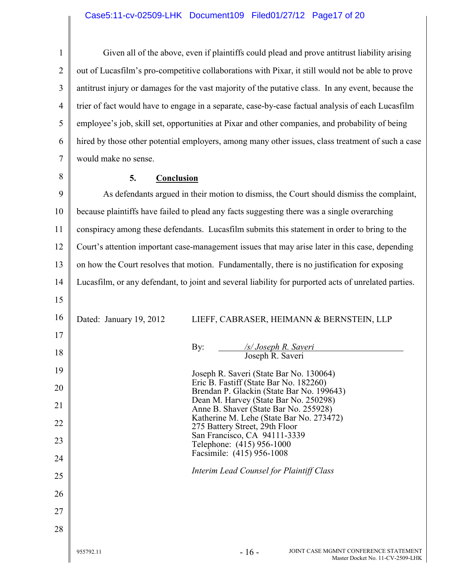### Case5:11-cv-02509-LHK Document109 Filed01/27/12 Page17 of 20

1 2 3 4 5 6 7 Given all of the above, even if plaintiffs could plead and prove antitrust liability arising out of Lucasfilm's pro-competitive collaborations with Pixar, it still would not be able to prove antitrust injury or damages for the vast majority of the putative class. In any event, because the trier of fact would have to engage in a separate, case-by-case factual analysis of each Lucasfilm employee's job, skill set, opportunities at Pixar and other companies, and probability of being hired by those other potential employers, among many other issues, class treatment of such a case would make no sense.

8

### **5. Conclusion**

9 10 11 12 13 14 15 16 17 18 19 20 21 22 23 24 25 26 27 28  $955792.11$  - 16 -JOINT CASE MGMNT CONFERENCE STATEMENT Master Docket No. 11-CV-2509-LHK As defendants argued in their motion to dismiss, the Court should dismiss the complaint, because plaintiffs have failed to plead any facts suggesting there was a single overarching conspiracy among these defendants. Lucasfilm submits this statement in order to bring to the Court's attention important case-management issues that may arise later in this case, depending on how the Court resolves that motion. Fundamentally, there is no justification for exposing Lucasfilm, or any defendant, to joint and several liability for purported acts of unrelated parties. Dated: January 19, 2012 LIEFF, CABRASER, HEIMANN & BERNSTEIN, LLP By: */s/ Joseph R. Saveri* Joseph R. Saveri Joseph R. Saveri (State Bar No. 130064) Eric B. Fastiff (State Bar No. 182260) Brendan P. Glackin (State Bar No. 199643) Dean M. Harvey (State Bar No. 250298) Anne B. Shaver (State Bar No. 255928) Katherine M. Lehe (State Bar No. 273472) 275 Battery Street, 29th Floor San Francisco, CA 94111-3339 Telephone: (415) 956-1000 Facsimile: (415) 956-1008 *Interim Lead Counsel for Plaintiff Class*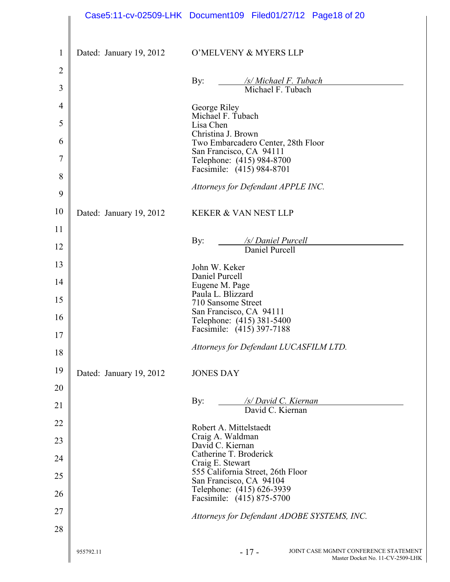|                |                         | Case5:11-cv-02509-LHK Document109 Filed01/27/12 Page18 of 20                        |
|----------------|-------------------------|-------------------------------------------------------------------------------------|
| $\mathbf{1}$   | Dated: January 19, 2012 | O'MELVENY & MYERS LLP                                                               |
| $\overline{2}$ |                         |                                                                                     |
| 3              |                         | By:<br>/s/ Michael F. Tubach<br>Michael F. Tubach                                   |
| 4              |                         | George Riley<br>Michael F. Tubach                                                   |
| 5              |                         | Lisa Chen<br>Christina J. Brown                                                     |
| 6              |                         | Two Embarcadero Center, 28th Floor<br>San Francisco, CA 94111                       |
| 7              |                         | Telephone: (415) 984-8700<br>Facsimile: (415) 984-8701                              |
| 8              |                         | Attorneys for Defendant APPLE INC.                                                  |
| 9              |                         |                                                                                     |
| 10             | Dated: January 19, 2012 | <b>KEKER &amp; VAN NEST LLP</b>                                                     |
| 11<br>12       |                         | /s/ Daniel Purcell<br>By:                                                           |
|                |                         | Daniel Purcell                                                                      |
| 13<br>14       |                         | John W. Keker<br>Daniel Purcell                                                     |
|                |                         | Eugene M. Page<br>Paula L. Blizzard                                                 |
| 15             |                         | 710 Sansome Street<br>San Francisco, CA 94111                                       |
| 16<br>17       |                         | Telephone: (415) 381-5400<br>Facsimile: (415) 397-7188                              |
| 18             |                         | Attorneys for Defendant LUCASFILM LTD.                                              |
| 19             | Dated: January 19, 2012 | <b>JONES DAY</b>                                                                    |
| 20             |                         |                                                                                     |
| 21             |                         | By:<br>/s/ David C. Kiernan<br>David C. Kiernan                                     |
| 22             |                         |                                                                                     |
| 23             |                         | Robert A. Mittelstaedt<br>Craig A. Waldman<br>David C. Kiernan                      |
| 24             |                         | Catherine T. Broderick<br>Craig E. Stewart                                          |
| 25             |                         | 555 California Street, 26th Floor<br>San Francisco, CA 94104                        |
| 26             |                         | Telephone: (415) 626-3939<br>Facsimile: (415) 875-5700                              |
| 27             |                         | Attorneys for Defendant ADOBE SYSTEMS, INC.                                         |
| 28             |                         |                                                                                     |
|                | 955792.11               | $-17-$<br>JOINT CASE MGMNT CONFERENCE STATEMENT<br>Master Docket No. 11-CV-2509-LHK |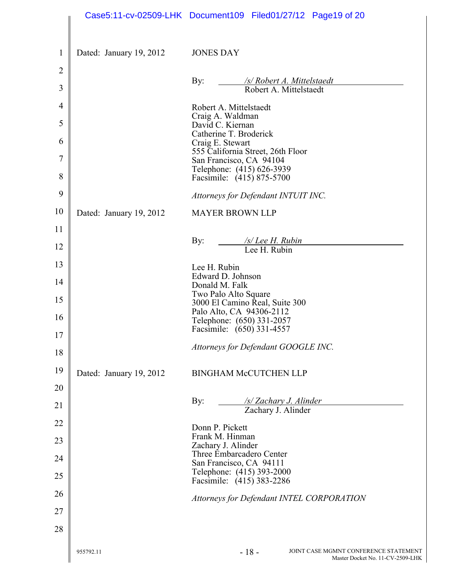|                     |                         | Case5:11-cv-02509-LHK Document109 Filed01/27/12 Page19 of 20                        |
|---------------------|-------------------------|-------------------------------------------------------------------------------------|
| $\mathbf{1}$        | Dated: January 19, 2012 | <b>JONES DAY</b>                                                                    |
| $\overline{2}$      |                         | By:<br>/s/ Robert A. Mittelstaedt                                                   |
| 3                   |                         | Robert A. Mittelstaedt                                                              |
| $\overline{4}$<br>5 |                         | Robert A. Mittelstaedt<br>Craig A. Waldman                                          |
| 6                   |                         | David C. Kiernan<br>Catherine T. Broderick<br>Craig E. Stewart                      |
| 7                   |                         | 555 California Street, 26th Floor<br>San Francisco, CA 94104                        |
| 8                   |                         | Telephone: (415) 626-3939<br>Facsimile: (415) 875-5700                              |
| 9                   |                         | Attorneys for Defendant INTUIT INC.                                                 |
| 10                  | Dated: January 19, 2012 | <b>MAYER BROWN LLP</b>                                                              |
| 11                  |                         |                                                                                     |
| 12                  |                         | /s/Lee H. Rubin<br>By:<br>Lee H. Rubin                                              |
| 13                  |                         | Lee H. Rubin                                                                        |
| 14                  |                         | Edward D. Johnson<br>Donald M. Falk                                                 |
| 15                  |                         | Two Palo Alto Square<br>3000 El Camino Real, Suite 300<br>Palo Alto, CA 94306-2112  |
| 16<br>17            |                         | Telephone: (650) 331-2057<br>Facsimile: (650) 331-4557                              |
| 18                  |                         | Attorneys for Defendant GOOGLE INC.                                                 |
| 19                  | Dated: January 19, 2012 | <b>BINGHAM McCUTCHEN LLP</b>                                                        |
| 20                  |                         |                                                                                     |
| 21                  |                         | By:<br>/s/ Zachary J. Alinder<br>Zachary J. Alinder                                 |
| 22                  |                         | Donn P. Pickett                                                                     |
| 23                  |                         | Frank M. Hinman<br>Zachary J. Alinder                                               |
| 24                  |                         | Three Embarcadero Center<br>San Francisco, CA 94111                                 |
| 25                  |                         | Telephone: (415) 393-2000<br>Facsimile: (415) 383-2286                              |
| 26                  |                         | Attorneys for Defendant INTEL CORPORATION                                           |
| 27                  |                         |                                                                                     |
| 28                  |                         |                                                                                     |
|                     | 955792.11               | $-18-$<br>JOINT CASE MGMNT CONFERENCE STATEMENT<br>Master Docket No. 11-CV-2509-LHK |